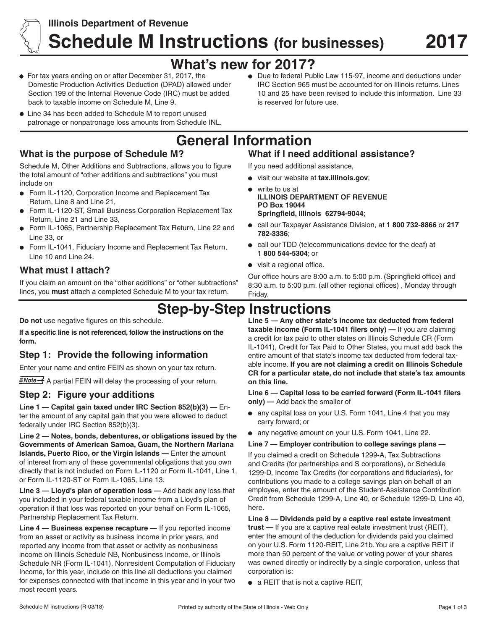

# **Illinois Department of Revenue Schedule M Instructions (for businesses) 2017**

# **What's new for 2017?**

- For tax years ending on or after December 31, 2017, the Domestic Production Activities Deduction (DPAD) allowed under Section 199 of the Internal Revenue Code (IRC) must be added back to taxable income on Schedule M, Line 9.
- Line 34 has been added to Schedule M to report unused patronage or nonpatronage loss amounts from Schedule INL.

## **What is the purpose of Schedule M?**

Schedule M, Other Additions and Subtractions, allows you to figure the total amount of "other additions and subtractions" you must include on

- Form IL-1120, Corporation Income and Replacement Tax  $\bullet$ Return, Line 8 and Line 21,
- Form IL-1120-ST, Small Business Corporation Replacement Tax  $\bullet$ Return, Line 21 and Line 33,
- Form IL-1065, Partnership Replacement Tax Return, Line 22 and Line 33, or
- Form IL-1041, Fiduciary Income and Replacement Tax Return, Line 10 and Line 24.

## **What must I attach?**

If you claim an amount on the "other additions" or "other subtractions" lines, you **must** attach a completed Schedule M to your tax return.

**Do not** use negative figures on this schedule.

**If a specific line is not referenced, follow the instructions on the form.**

## **Step 1: Provide the following information**

Enter your name and entire FEIN as shown on your tax return.

 $\frac{1}{2}$  A partial FEIN will delay the processing of your return.

## **Step 2: Figure your additions**

**Line 1 — Capital gain taxed under IRC Section 852(b)(3) —** Enter the amount of any capital gain that you were allowed to deduct federally under IRC Section 852(b)(3).

**Line 2 — Notes, bonds, debentures, or obligations issued by the Governments of American Samoa, Guam, the Northern Mariana Islands, Puerto Rico, or the Virgin Islands —** Enter the amount of interest from any of these governmental obligations that you own directly that is not included on Form IL-1120 or Form IL-1041, Line 1, or Form IL-1120-ST or Form IL-1065, Line 13.

**Line 3 — Lloyd's plan of operation loss —** Add back any loss that you included in your federal taxable income from a Lloyd's plan of operation if that loss was reported on your behalf on Form IL-1065, Partnership Replacement Tax Return.

**Line 4 — Business expense recapture —** If you reported income from an asset or activity as business income in prior years, and reported any income from that asset or activity as nonbusiness income on Illinois Schedule NB, Nonbusiness Income, or Illinois Schedule NR (Form IL-1041), Nonresident Computation of Fiduciary Income, for this year, include on this line all deductions you claimed for expenses connected with that income in this year and in your two most recent years.

Due to federal Public Law 115-97, income and deductions under IRC Section 965 must be accounted for on Illinois returns. Lines 10 and 25 have been revised to include this information. Line 33 is reserved for future use.

# **General Information**

## **What if I need additional assistance?**

If you need additional assistance,

- visit our website at **tax.illinois.gov**;
- write to us at **ILLINOIS DEPARTMENT OF REVENUE PO Box 19044 Springfield, Illinois 62794-9044**;
- call our Taxpayer Assistance Division, at **1 800 732-8866** or **217 782-3336**;
- call our TDD (telecommunications device for the deaf) at **1 800 544-5304**; or
- visit a regional office.

Our office hours are 8:00 a.m. to 5:00 p.m. (Springfield office) and 8:30 a.m. to 5:00 p.m. (all other regional offices) , Monday through Friday.

## **Step-by-Step Instructions**

**Line 5 — Any other state's income tax deducted from federal taxable income (Form IL-1041 filers only) —** If you are claiming a credit for tax paid to other states on Illinois Schedule CR (Form IL-1041), Credit for Tax Paid to Other States, you must add back the entire amount of that state's income tax deducted from federal taxable income. **If you are not claiming a credit on Illinois Schedule CR for a particular state, do not include that state's tax amounts on this line.**

**Line 6 — Capital loss to be carried forward (Form IL-1041 filers only) —** Add back the smaller of

- any capital loss on your U.S. Form 1041, Line 4 that you may carry forward; or
- any negative amount on your U.S. Form 1041, Line 22.

#### **Line 7 — Employer contribution to college savings plans —**

If you claimed a credit on Schedule 1299-A, Tax Subtractions and Credits (for partnerships and S corporations), or Schedule 1299-D, Income Tax Credits (for corporations and fiduciaries), for contributions you made to a college savings plan on behalf of an employee, enter the amount of the Student-Assistance Contribution Credit from Schedule 1299-A, Line 40, or Schedule 1299-D, Line 40, here.

**Line 8 — Dividends paid by a captive real estate investment trust —** If you are a captive real estate investment trust (REIT), enter the amount of the deduction for dividends paid you claimed on your U.S. Form 1120-REIT, Line 21b. You are a captive REIT if more than 50 percent of the value or voting power of your shares was owned directly or indirectly by a single corporation, unless that corporation is:

• a REIT that is not a captive REIT,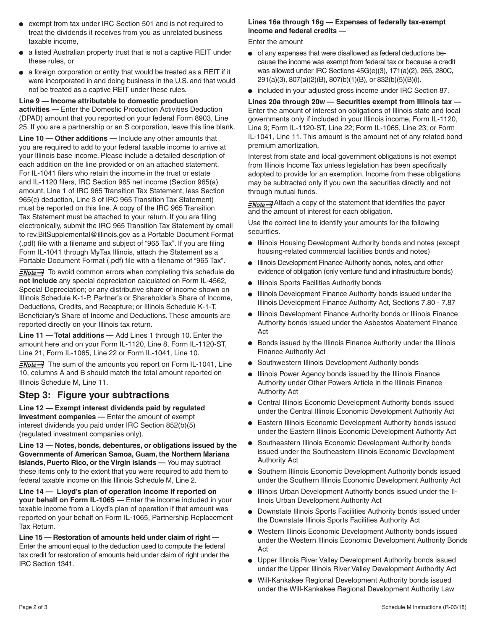- exempt from tax under IRC Section 501 and is not required to treat the dividends it receives from you as unrelated business taxable income,
- a listed Australian property trust that is not a captive REIT under these rules, or
- a foreign corporation or entity that would be treated as a REIT if it were incorporated in and doing business in the U.S. and that would not be treated as a captive REIT under these rules.

#### **Line 9 — Income attributable to domestic production**

**activities —** Enter the Domestic Production Activities Deduction (DPAD) amount that you reported on your federal Form 8903, Line 25. If you are a partnership or an S corporation, leave this line blank.

**Line 10 — Other additions —** Include any other amounts that you are required to add to your federal taxable income to arrive at your Illinois base income. Please include a detailed description of each addition on the line provided or on an attached statement. For IL-1041 filers who retain the income in the trust or estate and IL-1120 filers, IRC Section 965 net income (Section 965(a) amount, Line 1 of IRC 965 Transition Tax Statement, less Section 965(c) deduction, Line 3 of IRC 965 Transition Tax Statement) must be reported on this line. A copy of the IRC 965 Transition Tax Statement must be attached to your return. If you are filing electronically, submit the IRC 965 Transition Tax Statement by email to rev. BitSupplemental@illinois.gov as a Portable Document Format (.pdf) file with a filename and subject of "965 Tax". If you are filing Form IL-1041 through MyTax Illinois, attach the Statement as a Portable Document Format (.pdf) file with a filename of "965 Tax".

**ENote**<sup>-</sup></del> To avoid common errors when completing this schedule **do not include** any special depreciation calculated on Form IL-4562, Special Depreciation; or any distributive share of income shown on Illinois Schedule K-1-P, Partner's or Shareholder's Share of Income, Deductions, Credits, and Recapture; or Illinois Schedule K-1-T, Beneficiary's Share of Income and Deductions. These amounts are reported directly on your Illinois tax return.

**Line 11 — Total additions —** Add Lines 1 through 10. Enter the amount here and on your Form IL-1120, Line 8, Form IL-1120-ST, Line 21, Form IL-1065, Line 22 or Form IL-1041, Line 10.

 $\frac{1}{2}$  The sum of the amounts you report on Form IL-1041, Line 10, columns A and B should match the total amount reported on Illinois Schedule M, Line 11.

#### **Step 3: Figure your subtractions**

**Line 12 — Exempt interest dividends paid by regulated investment companies —** Enter the amount of exempt interest dividends you paid under IRC Section 852(b)(5) (regulated investment companies only).

**Line 13 — Notes, bonds, debentures, or obligations issued by the Governments of American Samoa, Guam, the Northern Mariana Islands, Puerto Rico, or the Virgin Islands —** You may subtract these items only to the extent that you were required to add them to federal taxable income on this Illinois Schedule M, Line 2.

**Line 14 — Lloyd's plan of operation income if reported on your behalf on Form IL-1065 —** Enter the income included in your taxable income from a Lloyd's plan of operation if that amount was reported on your behalf on Form IL-1065, Partnership Replacement Tax Return.

**Line 15 — Restoration of amounts held under claim of right —** Enter the amount equal to the deduction used to compute the federal tax credit for restoration of amounts held under claim of right under the IRC Section 1341.

#### **Lines 16a through 16g — Expenses of federally tax-exempt income and federal credits —**

Enter the amount

- of any expenses that were disallowed as federal deductions because the income was exempt from federal tax or because a credit was allowed under IRC Sections 45G(e)(3), 171(a)(2), 265, 280C, 291(a)(3), 807(a)(2)(B), 807(b)(1)(B), or 832(b)(5)(B)(i).
- included in your adjusted gross income under IRC Section 87.

**Lines 20a through 20w — Securities exempt from Illinois tax —** Enter the amount of interest on obligations of Illinois state and local governments only if included in your Illinois income, Form IL-1120, Line 9; Form IL-1120-ST, Line 22; Form IL-1065, Line 23; or Form IL-1041, Line 11. This amount is the amount net of any related bond premium amortization.

Interest from state and local government obligations is not exempt from Illinois Income Tax unless legislation has been specifically adopted to provide for an exemption. Income from these obligations may be subtracted only if you own the securities directly and not through mutual funds.

**ENote**<sup>-</sup>Attach a copy of the statement that identifies the payer and the amount of interest for each obligation.

Use the correct line to identify your amounts for the following securities.

- **.** Illinois Housing Development Authority bonds and notes (except housing-related commercial facilities bonds and notes)
- **Illinois Development Finance Authority bonds, notes, and other** evidence of obligation (only venture fund and infrastructure bonds)
- **.** Illinois Sports Facilities Authority bonds
- Illinois Development Finance Authority bonds issued under the Illinois Development Finance Authority Act, Sections 7.80 - 7.87
- **Illinois Development Finance Authority bonds or Illinois Finance** Authority bonds issued under the Asbestos Abatement Finance Act
- Bonds issued by the Illinois Finance Authority under the Illinois Finance Authority Act
- **Southwestern Illinois Development Authority bonds**
- **•** Illinois Power Agency bonds issued by the Illinois Finance Authority under Other Powers Article in the Illinois Finance Authority Act
- Central Illinois Economic Development Authority bonds issued under the Central Illinois Economic Development Authority Act
- Eastern Illinois Economic Development Authority bonds issued under the Eastern Illinois Economic Development Authority Act
- **Southeastern Illinois Economic Development Authority bonds** issued under the Southeastern Illinois Economic Development Authority Act
- **Southern Illinois Economic Development Authority bonds issued** under the Southern Illinois Economic Development Authority Act
- Illinois Urban Development Authority bonds issued under the Illinois Urban Development Authority Act
- Downstate Illinois Sports Facilities Authority bonds issued under the Downstate Illinois Sports Facilities Authority Act
- Western Illinois Economic Development Authority bonds issued under the Western Illinois Economic Development Authority Bonds Act
- Upper Illinois River Valley Development Authority bonds issued under the Upper Illinois River Valley Development Authority Act
- Will-Kankakee Regional Development Authority bonds issued under the Will-Kankakee Regional Development Authority Law